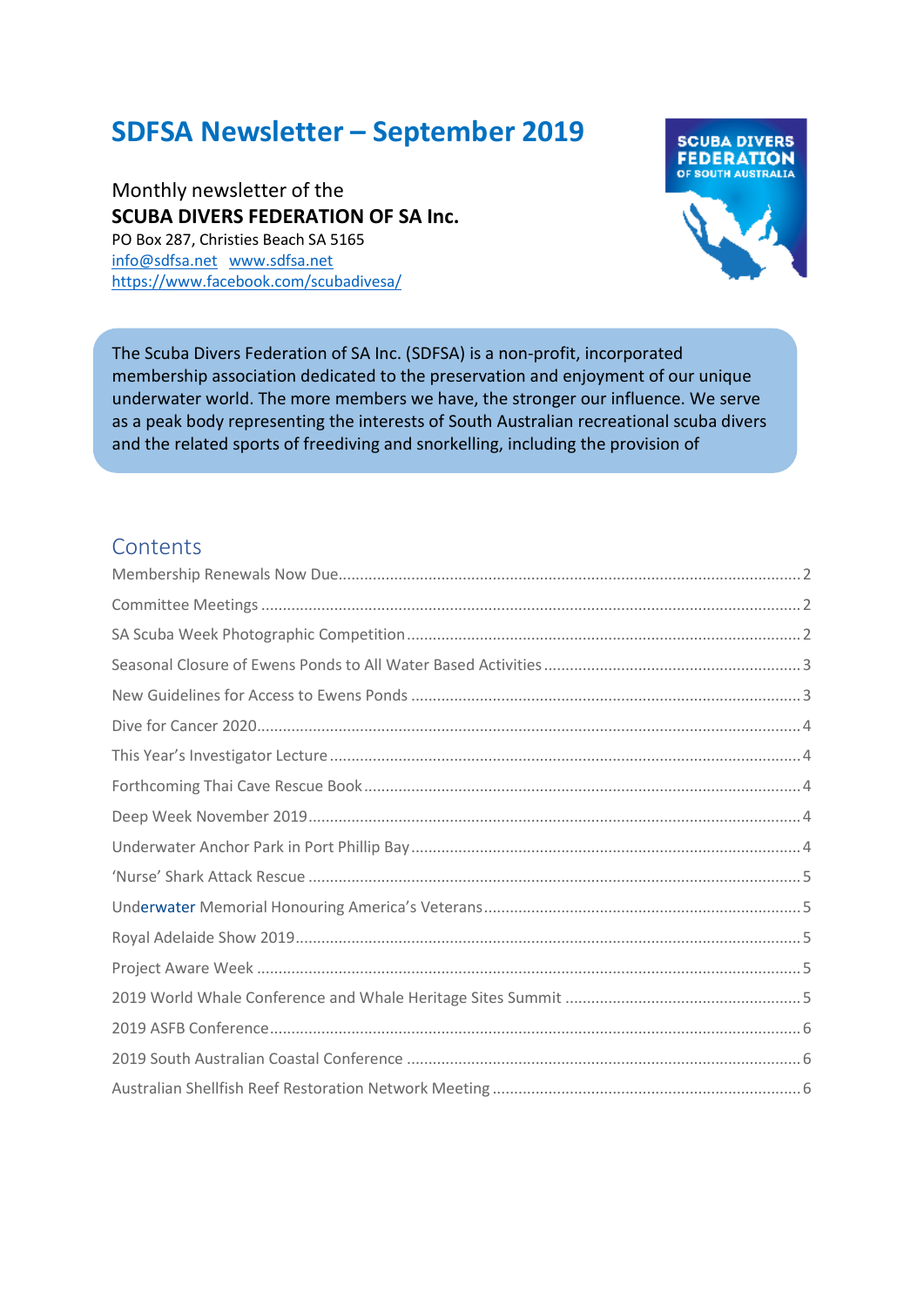# **SDFSA Newsletter – September 2019**

Monthly newsletter of the **SCUBA DIVERS FEDERATION OF SA Inc.** PO Box 287, Christies Beach SA 5165 [info@sdfsa.net](mailto:info@sdfsa.net) [www.sdfsa.net](http://www.sdfsa.net/) <https://www.facebook.com/scubadivesa/>



The Scuba Divers Federation of SA Inc. (SDFSA) is a non-profit, incorporated membership association dedicated to the preservation and enjoyment of our unique underwater world. The more members we have, the stronger our influence. We serve as a peak body representing the interests of South Australian recreational scuba divers and the related sports of freediving and snorkelling, including the provision of

information to government and the general public  $\sigma$  general public. Together we can have real impact  $\sigma$ 

#### **Contents**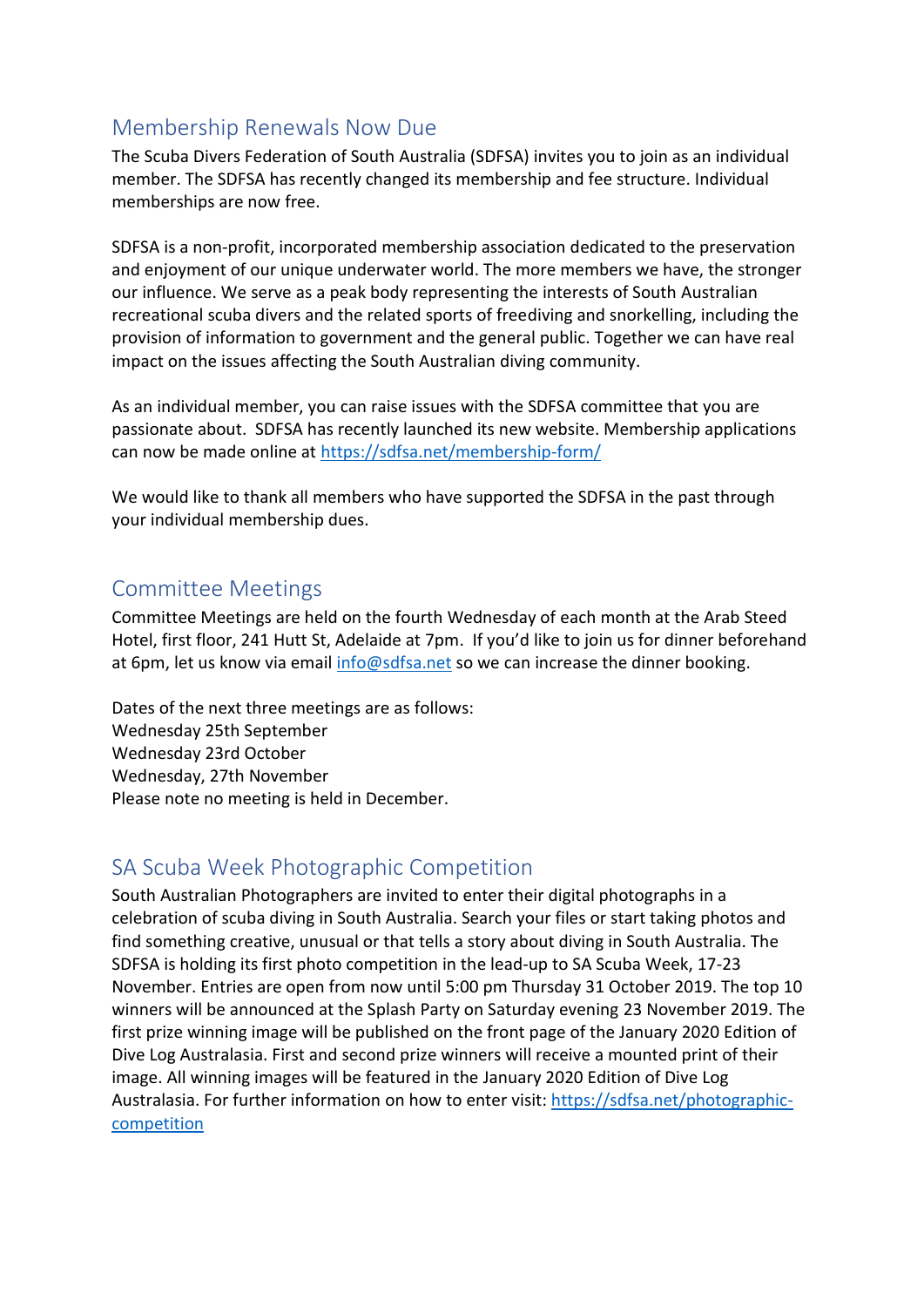### <span id="page-1-0"></span>Membership Renewals Now Due

The Scuba Divers Federation of South Australia (SDFSA) invites you to join as an individual member. The SDFSA has recently changed its membership and fee structure. Individual memberships are now free.

SDFSA is a non-profit, incorporated membership association dedicated to the preservation and enjoyment of our unique underwater world. The more members we have, the stronger our influence. We serve as a peak body representing the interests of South Australian recreational scuba divers and the related sports of freediving and snorkelling, including the provision of information to government and the general public. Together we can have real impact on the issues affecting the South Australian diving community.

As an individual member, you can raise issues with the SDFSA committee that you are passionate about. SDFSA has recently launched its new website. Membership applications can now be made online at<https://sdfsa.net/membership-form/>

We would like to thank all members who have supported the SDFSA in the past through your individual membership dues.

#### <span id="page-1-1"></span>Committee Meetings

Committee Meetings are held on the fourth Wednesday of each month at the Arab Steed Hotel, first floor, 241 Hutt St, Adelaide at 7pm. If you'd like to join us for dinner beforehand at 6pm, let us know via email [info@sdfsa.net](mailto:info@sdfsa.net) so we can increase the dinner booking.

Dates of the next three meetings are as follows: Wednesday 25th September Wednesday 23rd October Wednesday, 27th November Please note no meeting is held in December.

#### <span id="page-1-2"></span>SA Scuba Week Photographic Competition

South Australian Photographers are invited to enter their digital photographs in a celebration of scuba diving in South Australia. Search your files or start taking photos and find something creative, unusual or that tells a story about diving in South Australia. The SDFSA is holding its first photo competition in the lead-up to SA Scuba Week, 17-23 November. Entries are open from now until 5:00 pm Thursday 31 October 2019. The top 10 winners will be announced at the Splash Party on Saturday evening 23 November 2019. The first prize winning image will be published on the front page of the January 2020 Edition of Dive Log Australasia. First and second prize winners will receive a mounted print of their image. All winning images will be featured in the January 2020 Edition of Dive Log Australasia. For further information on how to enter visit: [https://sdfsa.net/photographic](https://sdfsa.net/photographic-competition)[competition](https://sdfsa.net/photographic-competition)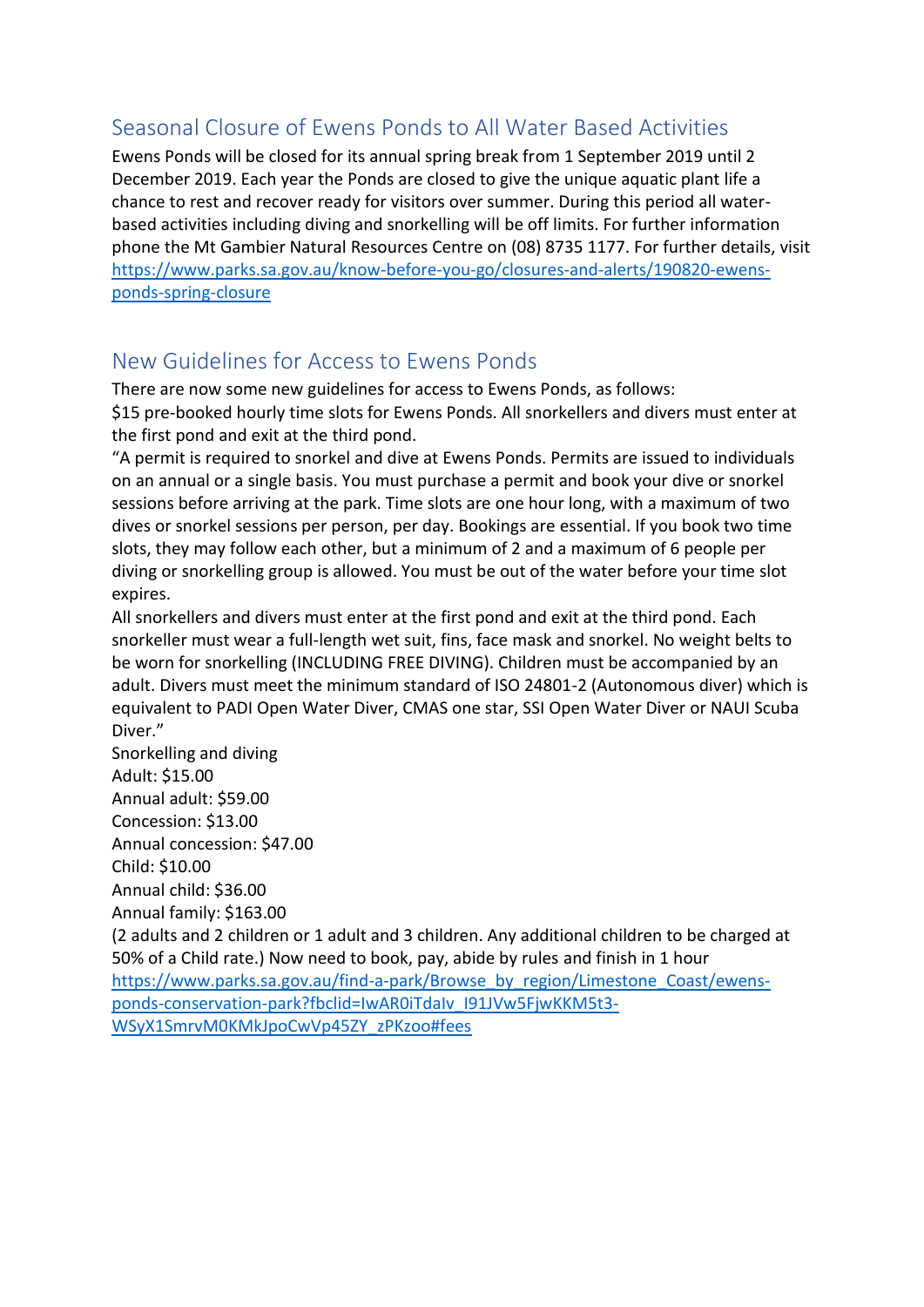# <span id="page-2-0"></span>Seasonal Closure of Ewens Ponds to All Water Based Activities

Ewens Ponds will be closed for its annual spring break from 1 September 2019 until 2 December 2019. Each year the Ponds are closed to give the unique aquatic plant life a chance to rest and recover ready for visitors over summer. During this period all waterbased activities including diving and snorkelling will be off limits. For further information phone the Mt Gambier Natural Resources Centre on (08) 8735 1177. For further details, visit [https://www.parks.sa.gov.au/know-before-you-go/closures-and-alerts/190820-ewens](https://www.parks.sa.gov.au/know-before-you-go/closures-and-alerts/190820-ewens-ponds-spring-closure)[ponds-spring-closure](https://www.parks.sa.gov.au/know-before-you-go/closures-and-alerts/190820-ewens-ponds-spring-closure)

# <span id="page-2-1"></span>New Guidelines for Access to Ewens Ponds

There are now some new guidelines for access to Ewens Ponds, as follows: \$15 pre-booked hourly time slots for Ewens Ponds. All snorkellers and divers must enter at the first pond and exit at the third pond.

"A permit is required to snorkel and dive at Ewens Ponds. Permits are issued to individuals on an annual or a single basis. You must purchase a permit and book your dive or snorkel sessions before arriving at the park. Time slots are one hour long, with a maximum of two dives or snorkel sessions per person, per day. Bookings are essential. If you book two time slots, they may follow each other, but a minimum of 2 and a maximum of 6 people per diving or snorkelling group is allowed. You must be out of the water before your time slot expires.

All snorkellers and divers must enter at the first pond and exit at the third pond. Each snorkeller must wear a full-length wet suit, fins, face mask and snorkel. No weight belts to be worn for snorkelling (INCLUDING FREE DIVING). Children must be accompanied by an adult. Divers must meet the minimum standard of ISO 24801-2 (Autonomous diver) which is equivalent to PADI Open Water Diver, CMAS one star, SSI Open Water Diver or NAUI Scuba Diver."

Snorkelling and diving Adult: \$15.00 Annual adult: \$59.00 Concession: \$13.00 Annual concession: \$47.00 Child: \$10.00 Annual child: \$36.00

Annual family: \$163.00

(2 adults and 2 children or 1 adult and 3 children. Any additional children to be charged at 50% of a Child rate.) Now need to book, pay, abide by rules and finish in 1 hour

[https://www.parks.sa.gov.au/find-a-park/Browse\\_by\\_region/Limestone\\_Coast/ewens](https://www.parks.sa.gov.au/find-a-park/Browse_by_region/Limestone_Coast/ewens-ponds-conservation-park?fbclid=IwAR0iTdaIv_I91JVw5FjwKKM5t3-WSyX1SmrvM0KMkJpoCwVp45ZY_zPKzoo#fees)[ponds-conservation-park?fbclid=IwAR0iTdaIv\\_I91JVw5FjwKKM5t3-](https://www.parks.sa.gov.au/find-a-park/Browse_by_region/Limestone_Coast/ewens-ponds-conservation-park?fbclid=IwAR0iTdaIv_I91JVw5FjwKKM5t3-WSyX1SmrvM0KMkJpoCwVp45ZY_zPKzoo#fees) [WSyX1SmrvM0KMkJpoCwVp45ZY\\_zPKzoo#fees](https://www.parks.sa.gov.au/find-a-park/Browse_by_region/Limestone_Coast/ewens-ponds-conservation-park?fbclid=IwAR0iTdaIv_I91JVw5FjwKKM5t3-WSyX1SmrvM0KMkJpoCwVp45ZY_zPKzoo#fees)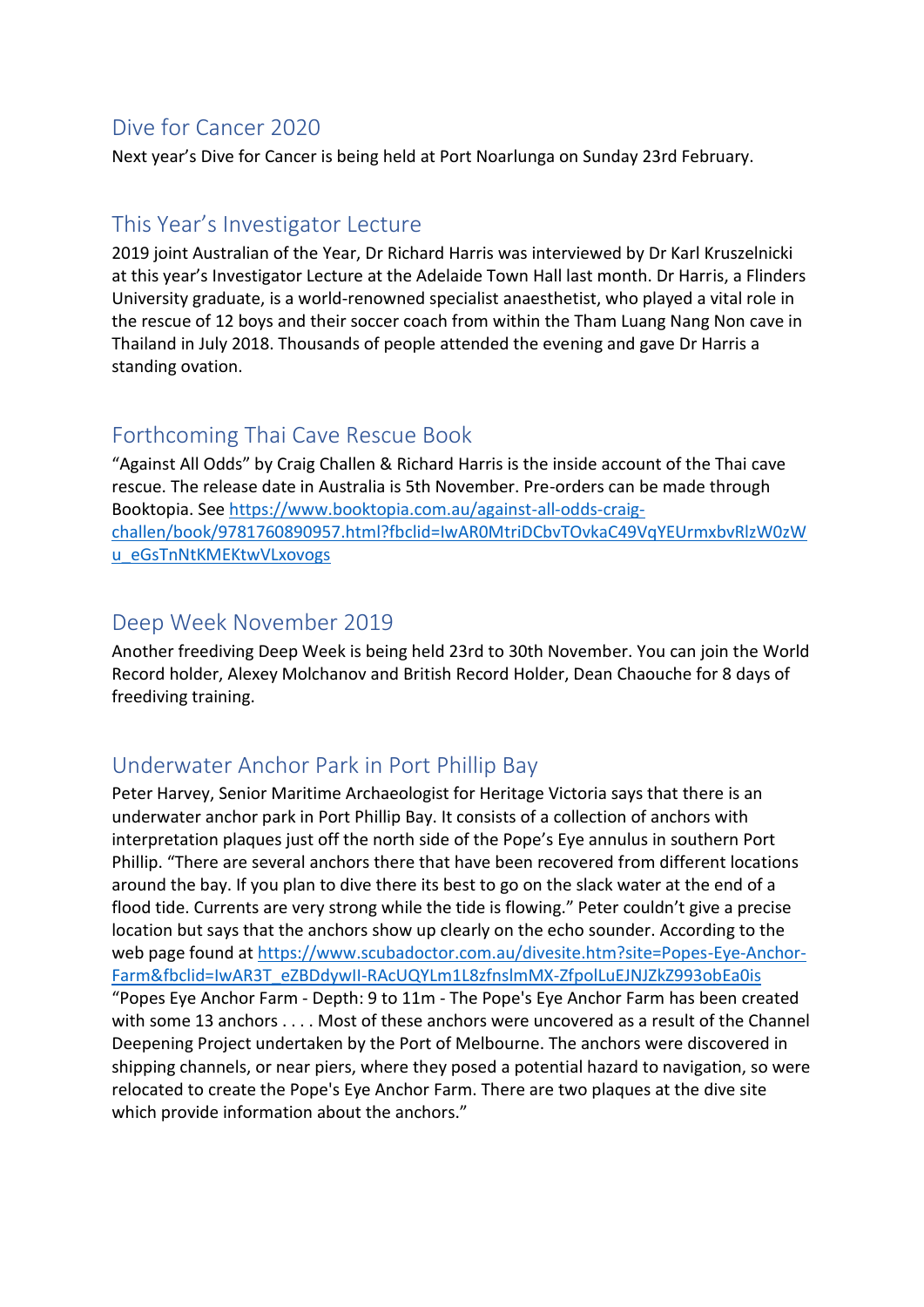### <span id="page-3-0"></span>Dive for Cancer 2020

Next year's Dive for Cancer is being held at Port Noarlunga on Sunday 23rd February.

# <span id="page-3-1"></span>This Year's Investigator Lecture

2019 joint Australian of the Year, Dr Richard Harris was interviewed by Dr Karl Kruszelnicki at this year's Investigator Lecture at the Adelaide Town Hall last month. Dr Harris, a Flinders University graduate, is a world-renowned specialist anaesthetist, who played a vital role in the rescue of 12 boys and their soccer coach from within the Tham Luang Nang Non cave in Thailand in July 2018. Thousands of people attended the evening and gave Dr Harris a standing ovation.

#### <span id="page-3-2"></span>Forthcoming Thai Cave Rescue Book

"Against All Odds" by Craig Challen & Richard Harris is the inside account of the Thai cave rescue. The release date in Australia is 5th November. Pre-orders can be made through Booktopia. Se[e https://www.booktopia.com.au/against-all-odds-craig](https://www.booktopia.com.au/against-all-odds-craig-challen/book/9781760890957.html?fbclid=IwAR0MtriDCbvTOvkaC49VqYEUrmxbvRlzW0zWu_eGsTnNtKMEKtwVLxovogs)[challen/book/9781760890957.html?fbclid=IwAR0MtriDCbvTOvkaC49VqYEUrmxbvRlzW0zW](https://www.booktopia.com.au/against-all-odds-craig-challen/book/9781760890957.html?fbclid=IwAR0MtriDCbvTOvkaC49VqYEUrmxbvRlzW0zWu_eGsTnNtKMEKtwVLxovogs) [u\\_eGsTnNtKMEKtwVLxovogs](https://www.booktopia.com.au/against-all-odds-craig-challen/book/9781760890957.html?fbclid=IwAR0MtriDCbvTOvkaC49VqYEUrmxbvRlzW0zWu_eGsTnNtKMEKtwVLxovogs)

### <span id="page-3-3"></span>Deep Week November 2019

Another freediving Deep Week is being held 23rd to 30th November. You can join the World Record holder, Alexey Molchanov and British Record Holder, Dean Chaouche for 8 days of freediving training.

#### <span id="page-3-4"></span>Underwater Anchor Park in Port Phillip Bay

Peter Harvey, Senior Maritime Archaeologist for Heritage Victoria says that there is an underwater anchor park in Port Phillip Bay. It consists of a collection of anchors with interpretation plaques just off the north side of the Pope's Eye annulus in southern Port Phillip. "There are several anchors there that have been recovered from different locations around the bay. If you plan to dive there its best to go on the slack water at the end of a flood tide. Currents are very strong while the tide is flowing." Peter couldn't give a precise location but says that the anchors show up clearly on the echo sounder. According to the web page found at [https://www.scubadoctor.com.au/divesite.htm?site=Popes-Eye-Anchor-](https://www.scubadoctor.com.au/divesite.htm?site=Popes-Eye-Anchor-Farm&fbclid=IwAR3T_eZBDdywII-RAcUQYLm1L8zfnslmMX-ZfpolLuEJNJZkZ993obEa0is)[Farm&fbclid=IwAR3T\\_eZBDdywII-RAcUQYLm1L8zfnslmMX-ZfpolLuEJNJZkZ993obEa0is](https://www.scubadoctor.com.au/divesite.htm?site=Popes-Eye-Anchor-Farm&fbclid=IwAR3T_eZBDdywII-RAcUQYLm1L8zfnslmMX-ZfpolLuEJNJZkZ993obEa0is) "Popes Eye Anchor Farm - Depth: 9 to 11m - The Pope's Eye Anchor Farm has been created with some 13 anchors . . . . Most of these anchors were uncovered as a result of the Channel Deepening Project undertaken by the Port of Melbourne. The anchors were discovered in shipping channels, or near piers, where they posed a potential hazard to navigation, so were relocated to create the Pope's Eye Anchor Farm. There are two plaques at the dive site which provide information about the anchors."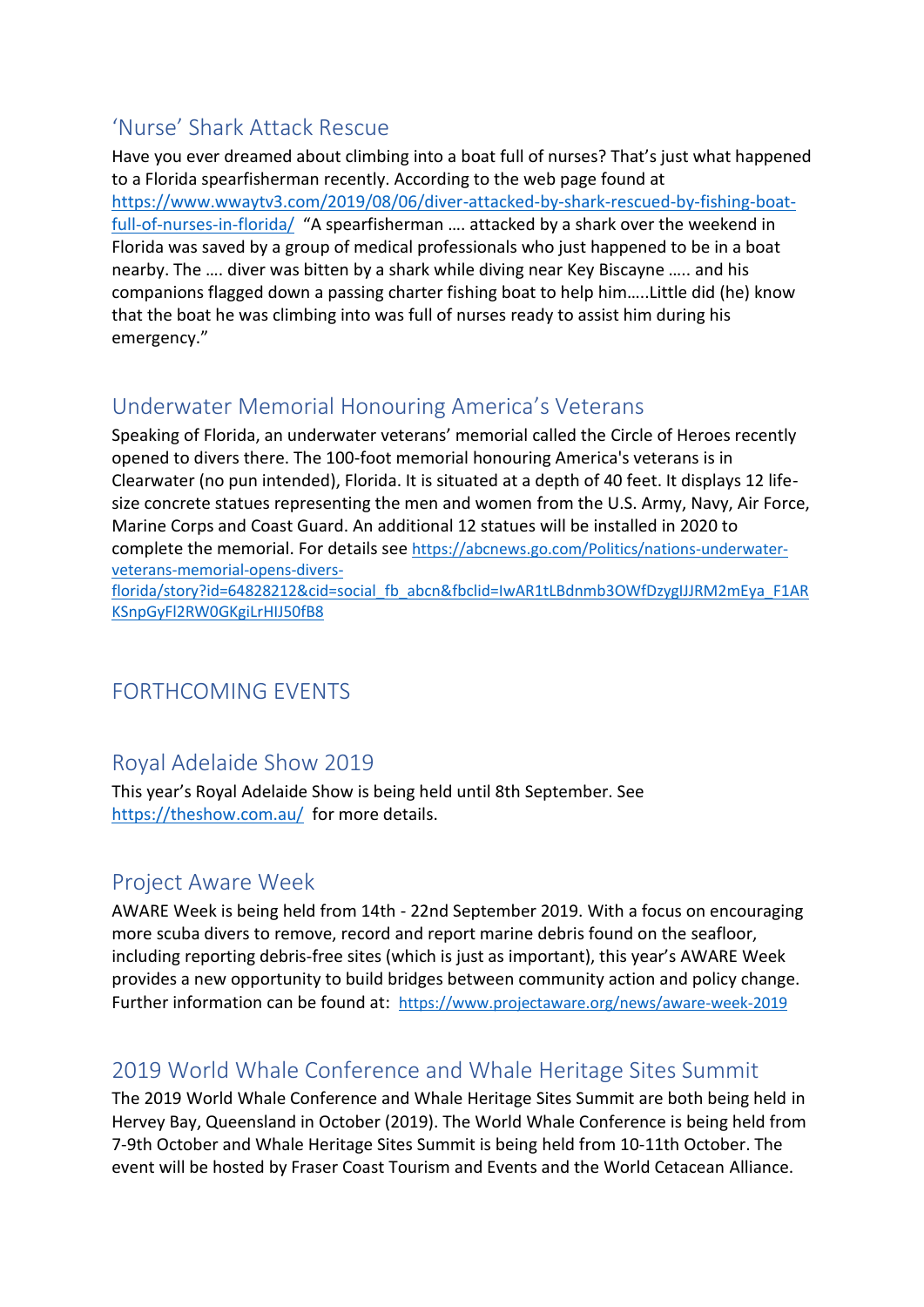# <span id="page-4-0"></span>'Nurse' Shark Attack Rescue

Have you ever dreamed about climbing into a boat full of nurses? That's just what happened to a Florida spearfisherman recently. According to the web page found at [https://www.wwaytv3.com/2019/08/06/diver-attacked-by-shark-rescued-by-fishing-boat](https://www.wwaytv3.com/2019/08/06/diver-attacked-by-shark-rescued-by-fishing-boat-full-of-nurses-in-florida/)[full-of-nurses-in-florida/](https://www.wwaytv3.com/2019/08/06/diver-attacked-by-shark-rescued-by-fishing-boat-full-of-nurses-in-florida/) "A spearfisherman …. attacked by a shark over the weekend in Florida was saved by a group of medical professionals who just happened to be in a boat nearby. The …. diver was bitten by a shark while diving near Key Biscayne ….. and his companions flagged down a passing charter fishing boat to help him…..Little did (he) know that the boat he was climbing into was full of nurses ready to assist him during his emergency."

# <span id="page-4-1"></span>Underwater Memorial Honouring America's Veterans

Speaking of Florida, an underwater veterans' memorial called the Circle of Heroes recently opened to divers there. The 100-foot memorial honouring America's veterans is in Clearwater (no pun intended), Florida. It is situated at a depth of 40 feet. It displays 12 lifesize concrete statues representing the men and women from the U.S. Army, Navy, Air Force, Marine Corps and Coast Guard. An additional 12 statues will be installed in 2020 to complete the memorial. For details see [https://abcnews.go.com/Politics/nations-underwater](https://abcnews.go.com/Politics/nations-underwater-veterans-memorial-opens-divers-florida/story?id=64828212&cid=social_fb_abcn&fbclid=IwAR1tLBdnmb3OWfDzygIJJRM2mEya_F1ARKSnpGyFl2RW0GKgiLrHIJ50fB8)[veterans-memorial-opens-divers-](https://abcnews.go.com/Politics/nations-underwater-veterans-memorial-opens-divers-florida/story?id=64828212&cid=social_fb_abcn&fbclid=IwAR1tLBdnmb3OWfDzygIJJRM2mEya_F1ARKSnpGyFl2RW0GKgiLrHIJ50fB8)

[florida/story?id=64828212&cid=social\\_fb\\_abcn&fbclid=IwAR1tLBdnmb3OWfDzygIJJRM2mEya\\_F1AR](https://abcnews.go.com/Politics/nations-underwater-veterans-memorial-opens-divers-florida/story?id=64828212&cid=social_fb_abcn&fbclid=IwAR1tLBdnmb3OWfDzygIJJRM2mEya_F1ARKSnpGyFl2RW0GKgiLrHIJ50fB8) [KSnpGyFl2RW0GKgiLrHIJ50fB8](https://abcnews.go.com/Politics/nations-underwater-veterans-memorial-opens-divers-florida/story?id=64828212&cid=social_fb_abcn&fbclid=IwAR1tLBdnmb3OWfDzygIJJRM2mEya_F1ARKSnpGyFl2RW0GKgiLrHIJ50fB8)

# FORTHCOMING EVENTS

# <span id="page-4-2"></span>Royal Adelaide Show 2019

This year's Royal Adelaide Show is being held until 8th September. See <https://theshow.com.au/> for more details.

#### <span id="page-4-3"></span>Project Aware Week

AWARE Week is being held from 14th - 22nd September 2019. With a focus on encouraging more scuba divers to remove, record and report marine debris found on the seafloor, including reporting debris-free sites (which is just as important), this year's AWARE Week provides a new opportunity to build bridges between community action and policy change. Further information can be found at: <https://www.projectaware.org/news/aware-week-2019>

# <span id="page-4-4"></span>2019 World Whale Conference and Whale Heritage Sites Summit

The 2019 World Whale Conference and Whale Heritage Sites Summit are both being held in Hervey Bay, Queensland in October (2019). The World Whale Conference is being held from 7-9th October and Whale Heritage Sites Summit is being held from 10-11th October. The event will be hosted by Fraser Coast Tourism and Events and the World Cetacean Alliance.